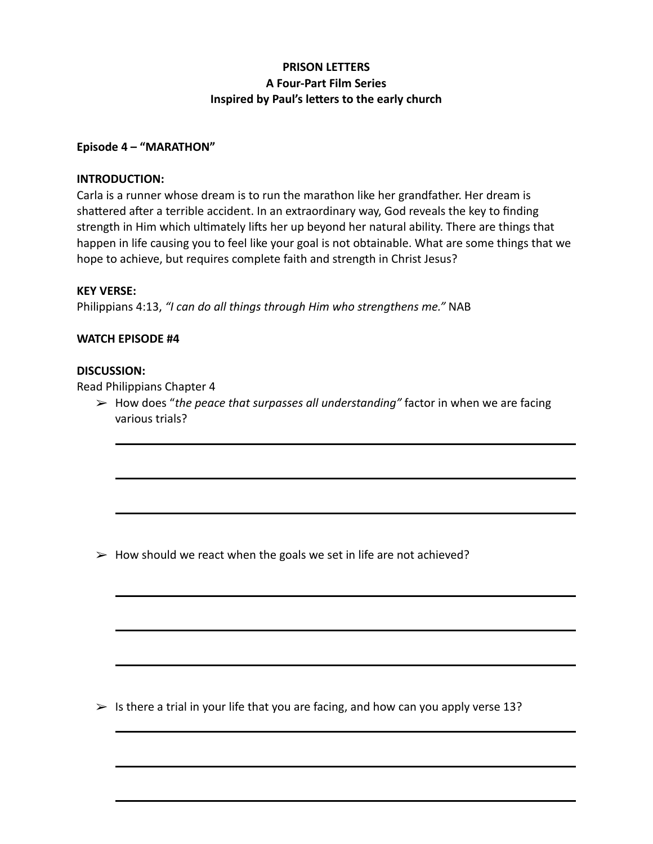# **PRISON LETTERS A Four-Part Film Series Inspired by Paul's letters to the early church**

## **Episode 4 – "MARATHON"**

### **INTRODUCTION:**

Carla is a runner whose dream is to run the marathon like her grandfather. Her dream is shattered after a terrible accident. In an extraordinary way, God reveals the key to finding strength in Him which ultimately lifts her up beyond her natural ability. There are things that happen in life causing you to feel like your goal is not obtainable. What are some things that we hope to achieve, but requires complete faith and strength in Christ Jesus?

#### **KEY VERSE:**

Philippians 4:13, *"I can do all things through Him who strengthens me."* NAB

#### **WATCH EPISODE #4**

## **DISCUSSION:**

Read Philippians Chapter 4

➢ How does "*the peace that surpasses all understanding"* factor in when we are facing various trials?

 $\triangleright$  How should we react when the goals we set in life are not achieved?

 $\triangleright$  Is there a trial in your life that you are facing, and how can you apply verse 13?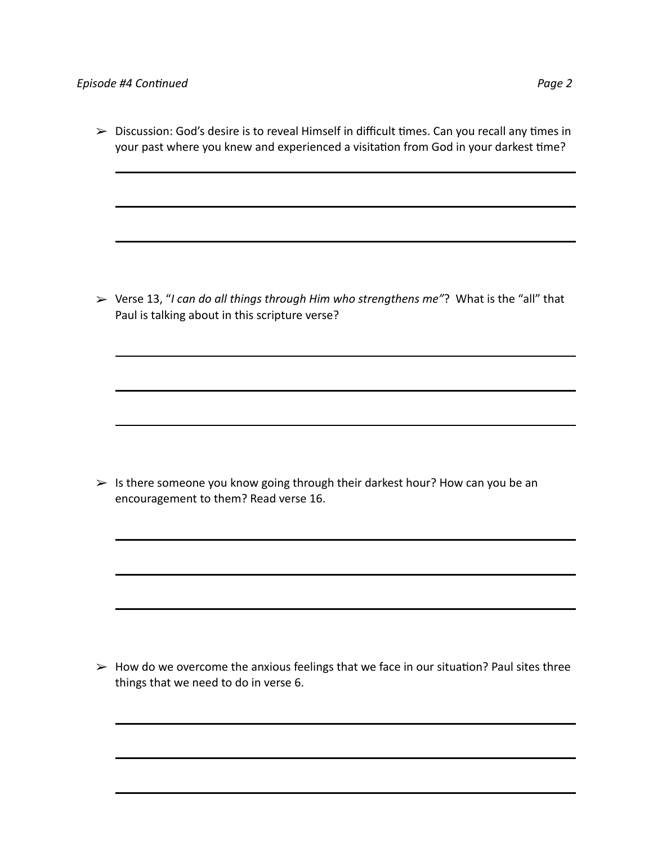➢ Discussion: God's desire is to reveal Himself in difficult times. Can you recall any times in your past where you knew and experienced a visitation from God in your darkest time?

➢ Verse 13, "*I can do all things through Him who strengthens me"*? What is the "all" that Paul is talking about in this scripture verse?

 $\triangleright$  Is there someone you know going through their darkest hour? How can you be an encouragement to them? Read verse 16.

 $\triangleright$  How do we overcome the anxious feelings that we face in our situation? Paul sites three things that we need to do in verse 6.